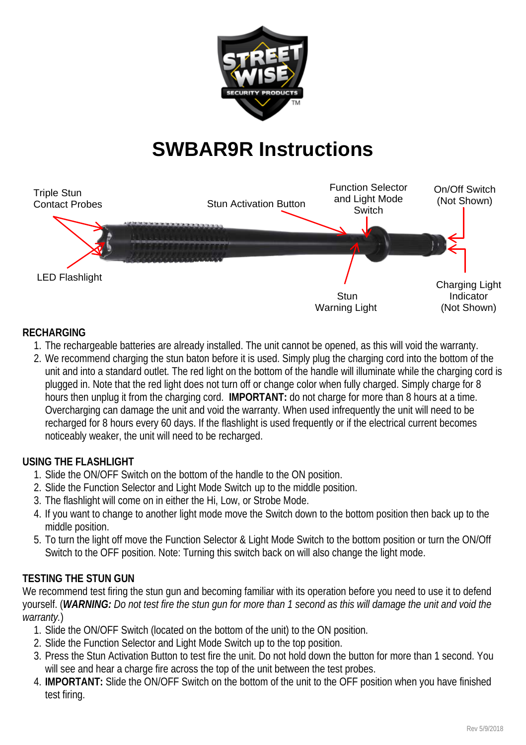

# **SWBAR9R Instructions**



## **RECHARGING**

- 1. The rechargeable batteries are already installed. The unit cannot be opened, as this will void the warranty.
- 2. We recommend charging the stun baton before it is used. Simply plug the charging cord into the bottom of the unit and into a standard outlet. The red light on the bottom of the handle will illuminate while the charging cord is plugged in. Note that the red light does not turn off or change color when fully charged. Simply charge for 8 hours then unplug it from the charging cord. **IMPORTANT:** do not charge for more than 8 hours at a time. Overcharging can damage the unit and void the warranty. When used infrequently the unit will need to be recharged for 8 hours every 60 days. If the flashlight is used frequently or if the electrical current becomes noticeably weaker, the unit will need to be recharged.

#### **USING THE FLASHLIGHT**

- 1. Slide the ON/OFF Switch on the bottom of the handle to the ON position.
- 2. Slide the Function Selector and Light Mode Switch up to the middle position.
- 3. The flashlight will come on in either the Hi, Low, or Strobe Mode.
- 4. If you want to change to another light mode move the Switch down to the bottom position then back up to the middle position.
- 5. To turn the light off move the Function Selector & Light Mode Switch to the bottom position or turn the ON/Off Switch to the OFF position. Note: Turning this switch back on will also change the light mode.

## **TESTING THE STUN GUN**

We recommend test firing the stun gun and becoming familiar with its operation before you need to use it to defend yourself. (*WARNING: Do not test fire the stun gun for more than 1 second as this will damage the unit and void the warranty.*)

- 1. Slide the ON/OFF Switch (located on the bottom of the unit) to the ON position.
- 2. Slide the Function Selector and Light Mode Switch up to the top position.
- 3. Press the Stun Activation Button to test fire the unit. Do not hold down the button for more than 1 second. You will see and hear a charge fire across the top of the unit between the test probes.
- 4. **IMPORTANT:** Slide the ON/OFF Switch on the bottom of the unit to the OFF position when you have finished test firing.